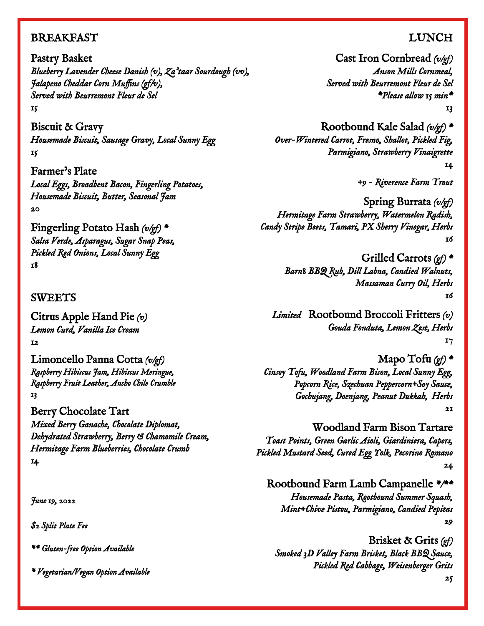## **BREAKFAST**

Pastry Basket *Blueberry Lavender Cheese Danish (v), Za'taar Sourdough (vv), Jalapeno Cheddar Corn Muffins (gf/v), Served with Beurremont Fleur de Sel 15* 

Biscuit & Gravy *Housemade Biscuit, Sausage Gravy, Local Sunny Egg 15* 

Farmer's Plate *Local Eggs, Broadbent Bacon, Fingerling Potatoes, Housemade Biscuit, Butter, Seasonal Jam 20* 

Fingerling Potato Hash *(v/gf) \* Salsa Verde, Asparagus, Sugar Snap Peas, Pickled Red Onions, Local Sunny Egg 18*

### SWEETS

Citrus Apple Hand Pie *(v) Lemon Curd, Vanilla Ice Cream 12* 

Limoncello Panna Cotta *(v/gf) Raspberry Hibiscus Jam, Hibiscus Meringue, Raspberry Fruit Leather, Ancho Chile Crumble 13* 

Berry Chocolate Tart *Mixed Berry Ganache, Chocolate Diplomat, Dehydrated Strawberry, Berry & Chamomile Cream, Hermitage Farm Blueberries, Chocolate Crumb 14* 

*June 19, 2022* 

*\$2 Split Plate Fee* 

*\*\* Gluten-free Option Available* 

*\* Vegetarian/Vegan Option Available* 

# LUNCH

Cast Iron Cornbread *(v/gf) Anson Mills Cornmeal, Served with Beurremont Fleur de Sel \*Please allow 15 min\* 13* 

Rootbound Kale Salad *(v/gf) \* Over-Wintered Carrot, Fresno, Shallot, Pickled Fig, Parmigiano, Strawberry Vinaigrette 14* 

*+9 - Riverence Farm Trout* 

Spring Burrata *(v/gf) Hermitage Farm Strawberry, Watermelon Radish, Candy Stripe Beets, Tamari, PX Sherry Vinegar, Herbs 16*

> Grilled Carrots *(gf) \* Barn8 BBQ Rub, Dill Labna, Candied Walnuts, Massaman Curry Oil, Herbs 16*

*Limited* Rootbound Broccoli Fritters *(v) Gouda Fonduta, Lemon Zest, Herbs 17*

Mapo Tofu *(gf) \* Cinsoy Tofu, Woodland Farm Bison, Local Sunny Egg, Popcorn Rice, Szechuan Peppercorn+Soy Sauce, Gochujang, Doenjang, Peanut Dukkah, Herbs 21*

Woodland Farm Bison Tartare *Toast Points, Green Garlic Aioli, Giardiniera, Capers, Pickled Mustard Seed, Cured Egg Yolk, Pecorino Romano 24* 

Rootbound Farm Lamb Campanelle *\*/\*\* Housemade Pasta, Rootbound Summer Squash, Mint+Chive Pistou, Parmigiano, Candied Pepitas 29*

Brisket & Grits *(gf) Smoked 3D Valley Farm Brisket, Black BBQ Sauce, Pickled Red Cabbage, Weisenberger Grits* 

*25*